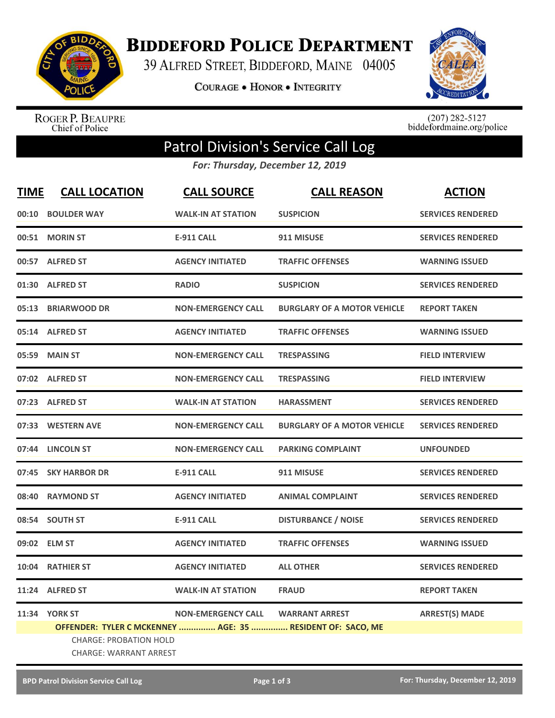

**BIDDEFORD POLICE DEPARTMENT** 

39 ALFRED STREET, BIDDEFORD, MAINE 04005

COURAGE . HONOR . INTEGRITY



ROGER P. BEAUPRE<br>Chief of Police

 $(207)$  282-5127<br>biddefordmaine.org/police

## Patrol Division's Service Call Log

*For: Thursday, December 12, 2019*

| <b>TIME</b> | <b>CALL LOCATION</b>                                           | <b>CALL SOURCE</b>        | <b>CALL REASON</b>                                         | <b>ACTION</b>            |
|-------------|----------------------------------------------------------------|---------------------------|------------------------------------------------------------|--------------------------|
| 00:10       | <b>BOULDER WAY</b>                                             | <b>WALK-IN AT STATION</b> | <b>SUSPICION</b>                                           | <b>SERVICES RENDERED</b> |
| 00:51       | <b>MORIN ST</b>                                                | <b>E-911 CALL</b>         | 911 MISUSE                                                 | <b>SERVICES RENDERED</b> |
|             | 00:57 ALFRED ST                                                | <b>AGENCY INITIATED</b>   | <b>TRAFFIC OFFENSES</b>                                    | <b>WARNING ISSUED</b>    |
|             | 01:30 ALFRED ST                                                | <b>RADIO</b>              | <b>SUSPICION</b>                                           | <b>SERVICES RENDERED</b> |
|             | 05:13 BRIARWOOD DR                                             | <b>NON-EMERGENCY CALL</b> | <b>BURGLARY OF A MOTOR VEHICLE</b>                         | <b>REPORT TAKEN</b>      |
|             | 05:14 ALFRED ST                                                | <b>AGENCY INITIATED</b>   | <b>TRAFFIC OFFENSES</b>                                    | <b>WARNING ISSUED</b>    |
| 05:59       | <b>MAIN ST</b>                                                 | <b>NON-EMERGENCY CALL</b> | <b>TRESPASSING</b>                                         | <b>FIELD INTERVIEW</b>   |
|             | 07:02 ALFRED ST                                                | <b>NON-EMERGENCY CALL</b> | <b>TRESPASSING</b>                                         | <b>FIELD INTERVIEW</b>   |
|             | 07:23 ALFRED ST                                                | <b>WALK-IN AT STATION</b> | <b>HARASSMENT</b>                                          | <b>SERVICES RENDERED</b> |
|             | 07:33 WESTERN AVE                                              | <b>NON-EMERGENCY CALL</b> | <b>BURGLARY OF A MOTOR VEHICLE</b>                         | <b>SERVICES RENDERED</b> |
|             | 07:44 LINCOLN ST                                               | <b>NON-EMERGENCY CALL</b> | <b>PARKING COMPLAINT</b>                                   | <b>UNFOUNDED</b>         |
|             | 07:45 SKY HARBOR DR                                            | <b>E-911 CALL</b>         | 911 MISUSE                                                 | <b>SERVICES RENDERED</b> |
| 08:40       | <b>RAYMOND ST</b>                                              | <b>AGENCY INITIATED</b>   | <b>ANIMAL COMPLAINT</b>                                    | <b>SERVICES RENDERED</b> |
|             | 08:54 SOUTH ST                                                 | <b>E-911 CALL</b>         | <b>DISTURBANCE / NOISE</b>                                 | <b>SERVICES RENDERED</b> |
|             | 09:02 ELM ST                                                   | <b>AGENCY INITIATED</b>   | <b>TRAFFIC OFFENSES</b>                                    | <b>WARNING ISSUED</b>    |
|             | 10:04 RATHIER ST                                               | <b>AGENCY INITIATED</b>   | <b>ALL OTHER</b>                                           | <b>SERVICES RENDERED</b> |
| 11:24       | <b>ALFRED ST</b>                                               | <b>WALK-IN AT STATION</b> | <b>FRAUD</b>                                               | <b>REPORT TAKEN</b>      |
|             | <b>11:34 YORK ST</b>                                           | <b>NON-EMERGENCY CALL</b> | <b>WARRANT ARREST</b>                                      | <b>ARREST(S) MADE</b>    |
|             | <b>CHARGE: PROBATION HOLD</b><br><b>CHARGE: WARRANT ARREST</b> |                           | OFFENDER: TYLER C MCKENNEY  AGE: 35  RESIDENT OF: SACO, ME |                          |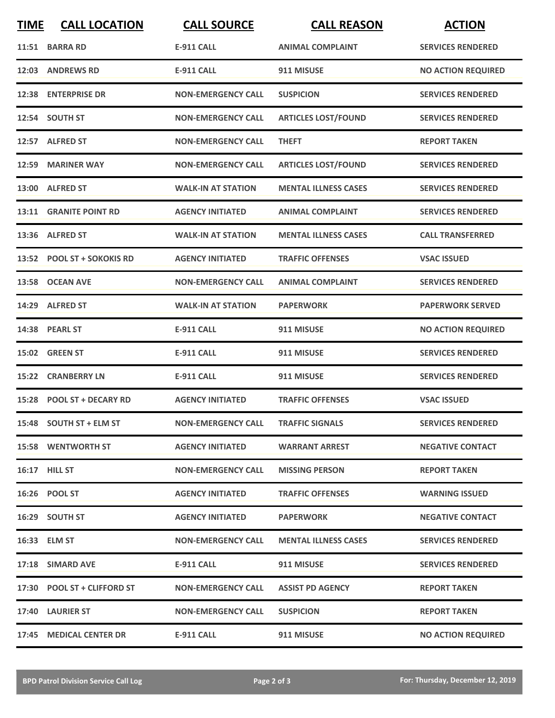| <b>TIME</b> | <b>CALL LOCATION</b>        | <b>CALL SOURCE</b>        | <b>CALL REASON</b>          | <b>ACTION</b>             |
|-------------|-----------------------------|---------------------------|-----------------------------|---------------------------|
|             | 11:51 BARRA RD              | <b>E-911 CALL</b>         | <b>ANIMAL COMPLAINT</b>     | <b>SERVICES RENDERED</b>  |
|             | 12:03 ANDREWS RD            | <b>E-911 CALL</b>         | 911 MISUSE                  | <b>NO ACTION REQUIRED</b> |
|             | 12:38 ENTERPRISE DR         | <b>NON-EMERGENCY CALL</b> | <b>SUSPICION</b>            | <b>SERVICES RENDERED</b>  |
|             | 12:54 SOUTH ST              | <b>NON-EMERGENCY CALL</b> | <b>ARTICLES LOST/FOUND</b>  | <b>SERVICES RENDERED</b>  |
|             | 12:57 ALFRED ST             | <b>NON-EMERGENCY CALL</b> | <b>THEFT</b>                | <b>REPORT TAKEN</b>       |
|             | 12:59 MARINER WAY           | <b>NON-EMERGENCY CALL</b> | <b>ARTICLES LOST/FOUND</b>  | <b>SERVICES RENDERED</b>  |
|             | 13:00 ALFRED ST             | <b>WALK-IN AT STATION</b> | <b>MENTAL ILLNESS CASES</b> | <b>SERVICES RENDERED</b>  |
|             | 13:11 GRANITE POINT RD      | <b>AGENCY INITIATED</b>   | <b>ANIMAL COMPLAINT</b>     | <b>SERVICES RENDERED</b>  |
|             | 13:36 ALFRED ST             | <b>WALK-IN AT STATION</b> | <b>MENTAL ILLNESS CASES</b> | <b>CALL TRANSFERRED</b>   |
|             | 13:52 POOL ST + SOKOKIS RD  | <b>AGENCY INITIATED</b>   | <b>TRAFFIC OFFENSES</b>     | <b>VSAC ISSUED</b>        |
|             | 13:58 OCEAN AVE             | <b>NON-EMERGENCY CALL</b> | <b>ANIMAL COMPLAINT</b>     | <b>SERVICES RENDERED</b>  |
|             | 14:29 ALFRED ST             | <b>WALK-IN AT STATION</b> | <b>PAPERWORK</b>            | <b>PAPERWORK SERVED</b>   |
|             | 14:38 PEARL ST              | <b>E-911 CALL</b>         | 911 MISUSE                  | <b>NO ACTION REQUIRED</b> |
|             | 15:02 GREEN ST              | <b>E-911 CALL</b>         | 911 MISUSE                  | <b>SERVICES RENDERED</b>  |
|             | <b>15:22 CRANBERRY LN</b>   | <b>E-911 CALL</b>         | 911 MISUSE                  | <b>SERVICES RENDERED</b>  |
|             | 15:28 POOL ST + DECARY RD   | <b>AGENCY INITIATED</b>   | <b>TRAFFIC OFFENSES</b>     | <b>VSAC ISSUED</b>        |
|             | 15:48 SOUTH ST + ELM ST     | <b>NON-EMERGENCY CALL</b> | <b>TRAFFIC SIGNALS</b>      | <b>SERVICES RENDERED</b>  |
|             | <b>15:58 WENTWORTH ST</b>   | <b>AGENCY INITIATED</b>   | <b>WARRANT ARREST</b>       | <b>NEGATIVE CONTACT</b>   |
|             | <b>16:17 HILL ST</b>        | <b>NON-EMERGENCY CALL</b> | <b>MISSING PERSON</b>       | <b>REPORT TAKEN</b>       |
|             | 16:26 POOL ST               | <b>AGENCY INITIATED</b>   | <b>TRAFFIC OFFENSES</b>     | <b>WARNING ISSUED</b>     |
|             | 16:29 SOUTH ST              | <b>AGENCY INITIATED</b>   | <b>PAPERWORK</b>            | <b>NEGATIVE CONTACT</b>   |
|             | 16:33 ELM ST                | <b>NON-EMERGENCY CALL</b> | <b>MENTAL ILLNESS CASES</b> | <b>SERVICES RENDERED</b>  |
|             | 17:18 SIMARD AVE            | E-911 CALL                | 911 MISUSE                  | <b>SERVICES RENDERED</b>  |
|             | 17:30 POOL ST + CLIFFORD ST | <b>NON-EMERGENCY CALL</b> | <b>ASSIST PD AGENCY</b>     | <b>REPORT TAKEN</b>       |
|             | 17:40 LAURIER ST            | <b>NON-EMERGENCY CALL</b> | <b>SUSPICION</b>            | <b>REPORT TAKEN</b>       |
|             | 17:45 MEDICAL CENTER DR     | <b>E-911 CALL</b>         | 911 MISUSE                  | <b>NO ACTION REQUIRED</b> |